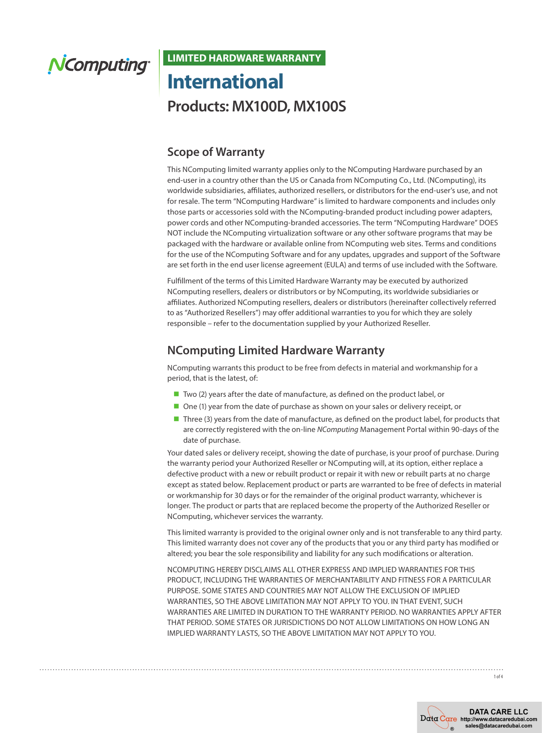## NComputing®

## **LIMITED HARDWARE WARRANTY International Products: MX100D, MX100S**

## **Scope of Warranty**

This NComputing limited warranty applies only to the NComputing Hardware purchased by an end-user in a country other than the US or Canada from NComputing Co., Ltd. (NComputing), its worldwide subsidiaries, affiliates, authorized resellers, or distributors for the end-user's use, and not for resale. The term "NComputing Hardware" is limited to hardware components and includes only those parts or accessories sold with the NComputing-branded product including power adapters, power cords and other NComputing-branded accessories. The term "NComputing Hardware" DOES NOT include the NComputing virtualization software or any other software programs that may be packaged with the hardware or available online from NComputing web sites. Terms and conditions for the use of the NComputing Software and for any updates, upgrades and support of the Software are set forth in the end user license agreement (EULA) and terms of use included with the Software.

Fulfillment of the terms of this Limited Hardware Warranty may be executed by authorized NComputing resellers, dealers or distributors or by NComputing, its worldwide subsidiaries or affiliates. Authorized NComputing resellers, dealers or distributors (hereinafter collectively referred to as "Authorized Resellers") may offer additional warranties to you for which they are solely responsible – refer to the documentation supplied by your Authorized Reseller.

## **NComputing Limited Hardware Warranty**

NComputing warrants this product to be free from defects in material and workmanship for a period, that is the latest, of:

- $\blacksquare$  Two (2) years after the date of manufacture, as defined on the product label, or
- One (1) year from the date of purchase as shown on your sales or delivery receipt, or
- Three (3) years from the date of manufacture, as defined on the product label, for products that are correctly registered with the on-line *NComputing* Management Portal within 90-days of the date of purchase.

Your dated sales or delivery receipt, showing the date of purchase, is your proof of purchase. During the warranty period your Authorized Reseller or NComputing will, at its option, either replace a defective product with a new or rebuilt product or repair it with new or rebuilt parts at no charge except as stated below. Replacement product or parts are warranted to be free of defects in material or workmanship for 30 days or for the remainder of the original product warranty, whichever is longer. The product or parts that are replaced become the property of the Authorized Reseller or NComputing, whichever services the warranty.

This limited warranty is provided to the original owner only and is not transferable to any third party. This limited warranty does not cover any of the products that you or any third party has modified or altered; you bear the sole responsibility and liability for any such modifications or alteration.

NCOMPUTING HEREBY DISCLAIMS ALL OTHER EXPRESS AND IMPLIED WARRANTIES FOR THIS PRODUCT, INCLUDING THE WARRANTIES OF MERCHANTABILITY AND FITNESS FOR A PARTICULAR PURPOSE. SOME STATES AND COUNTRIES MAY NOT ALLOW THE EXCLUSION OF IMPLIED WARRANTIES, SO THE ABOVE LIMITATION MAY NOT APPLY TO YOU. IN THAT EVENT, SUCH WARRANTIES ARE LIMITED IN DURATION TO THE WARRANTY PERIOD. NO WARRANTIES APPLY AFTER THAT PERIOD. SOME STATES OR JURISDICTIONS DO NOT ALLOW LIMITATIONS ON HOW LONG AN IMPLIED WARRANTY LASTS, SO THE ABOVE LIMITATION MAY NOT APPLY TO YOU.

1 of 4

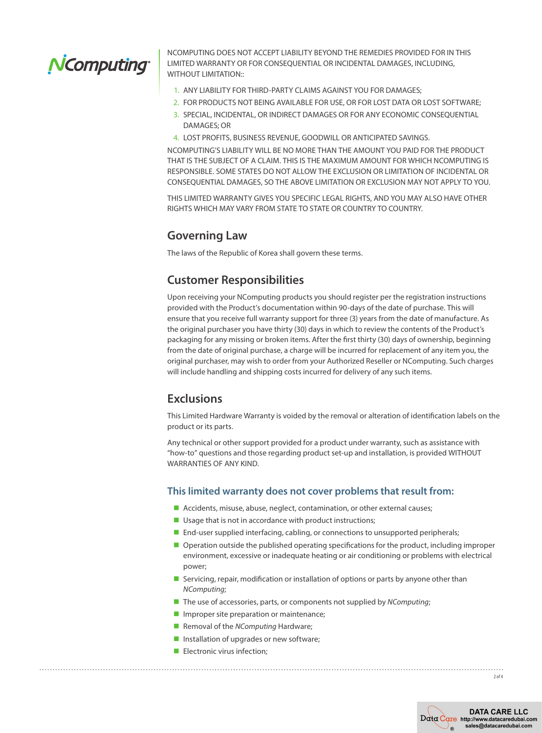# NComputing

NCOMPUTING DOES NOT ACCEPT LIABILITY BEYOND THE REMEDIES PROVIDED FOR IN THIS LIMITED WARRANTY OR FOR CONSEQUENTIAL OR INCIDENTAL DAMAGES, INCLUDING, WITHOUT LIMITATION::

- 1. ANY LIABILITY FOR THIRD-PARTY CLAIMS AGAINST YOU FOR DAMAGES;
- 2. FOR PRODUCTS NOT BEING AVAILABLE FOR USE, OR FOR LOST DATA OR LOST SOFTWARE;
- 3. SPECIAL, INCIDENTAL, OR INDIRECT DAMAGES OR FOR ANY ECONOMIC CONSEQUENTIAL DAMAGES; OR
- 4. LOST PROFITS, BUSINESS REVENUE, GOODWILL OR ANTICIPATED SAVINGS.

NCOMPUTING'S LIABILITY WILL BE NO MORE THAN THE AMOUNT YOU PAID FOR THE PRODUCT THAT IS THE SUBJECT OF A CLAIM. THIS IS THE MAXIMUM AMOUNT FOR WHICH NCOMPUTING IS RESPONSIBLE. SOME STATES DO NOT ALLOW THE EXCLUSION OR LIMITATION OF INCIDENTAL OR CONSEQUENTIAL DAMAGES, SO THE ABOVE LIMITATION OR EXCLUSION MAY NOT APPLY TO YOU.

THIS LIMITED WARRANTY GIVES YOU SPECIFIC LEGAL RIGHTS, AND YOU MAY ALSO HAVE OTHER RIGHTS WHICH MAY VARY FROM STATE TO STATE OR COUNTRY TO COUNTRY.

### **Governing Law**

The laws of the Republic of Korea shall govern these terms.

## **Customer Responsibilities**

Upon receiving your NComputing products you should register per the registration instructions provided with the Product's documentation within 90-days of the date of purchase. This will ensure that you receive full warranty support for three (3) years from the date of manufacture. As the original purchaser you have thirty (30) days in which to review the contents of the Product's packaging for any missing or broken items. After the first thirty (30) days of ownership, beginning from the date of original purchase, a charge will be incurred for replacement of any item you, the original purchaser, may wish to order from your Authorized Reseller or NComputing. Such charges will include handling and shipping costs incurred for delivery of any such items.

### **Exclusions**

This Limited Hardware Warranty is voided by the removal or alteration of identification labels on the product or its parts.

Any technical or other support provided for a product under warranty, such as assistance with "how-to" questions and those regarding product set-up and installation, is provided WITHOUT WARRANTIES OF ANY KIND.

#### **This limited warranty does not cover problems that result from:**

- $\blacksquare$  Accidents, misuse, abuse, neglect, contamination, or other external causes;
- $\blacksquare$  Usage that is not in accordance with product instructions;
- $\blacksquare$  End-user supplied interfacing, cabling, or connections to unsupported peripherals;
- **n** Operation outside the published operating specifications for the product, including improper environment, excessive or inadequate heating or air conditioning or problems with electrical power;
- **n** Servicing, repair, modification or installation of options or parts by anyone other than *NComputing*;
- The use of accessories, parts, or components not supplied by *NComputing*;
- $\blacksquare$  Improper site preparation or maintenance;
- **n** Removal of the *NComputing* Hardware;
- $\blacksquare$  Installation of upgrades or new software;
- $\blacksquare$  Electronic virus infection;

2 of 4

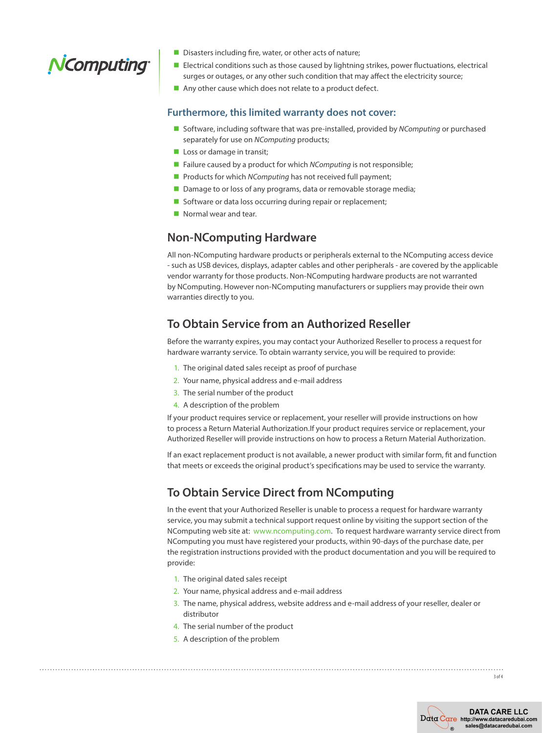## NComputing

- $\blacksquare$  Disasters including fire, water, or other acts of nature;
- **Electrical conditions such as those caused by lightning strikes, power fluctuations, electrical** surges or outages, or any other such condition that may affect the electricity source;
- $\blacksquare$  Any other cause which does not relate to a product defect.

#### **Furthermore, this limited warranty does not cover:**

- Software, including software that was pre-installed, provided by *NComputing* or purchased separately for use on *NComputing* products;
- $\blacksquare$  Loss or damage in transit;
- Failure caused by a product for which *NComputing* is not responsible;
- Products for which *NComputing* has not received full payment;
- Damage to or loss of any programs, data or removable storage media;
- Software or data loss occurring during repair or replacement;
- $\blacksquare$  Normal wear and tear.

#### **Non-NComputing Hardware**

All non-NComputing hardware products or peripherals external to the NComputing access device - such as USB devices, displays, adapter cables and other peripherals - are covered by the applicable vendor warranty for those products. Non-NComputing hardware products are not warranted by NComputing. However non-NComputing manufacturers or suppliers may provide their own warranties directly to you.

### **To Obtain Service from an Authorized Reseller**

Before the warranty expires, you may contact your Authorized Reseller to process a request for hardware warranty service. To obtain warranty service, you will be required to provide:

- 1. The original dated sales receipt as proof of purchase
- 2. Your name, physical address and e-mail address
- 3. The serial number of the product
- 4. A description of the problem

If your product requires service or replacement, your reseller will provide instructions on how to process a Return Material Authorization.If your product requires service or replacement, your Authorized Reseller will provide instructions on how to process a Return Material Authorization.

If an exact replacement product is not available, a newer product with similar form, fit and function that meets or exceeds the original product's specifications may be used to service the warranty.

## **To Obtain Service Direct from NComputing**

In the event that your Authorized Reseller is unable to process a request for hardware warranty service, you may submit a technical support request online by visiting the support section of the NComputing web site at: [www.ncomputing.com.](http://www.ncomputing.com) To request hardware warranty service direct from NComputing you must have registered your products, within 90-days of the purchase date, per the registration instructions provided with the product documentation and you will be required to provide:

- 1. The original dated sales receipt
- 2. Your name, physical address and e-mail address
- 3. The name, physical address, website address and e-mail address of your reseller, dealer or distributor
- 4. The serial number of the product
- 5. A description of the problem

3 of 4